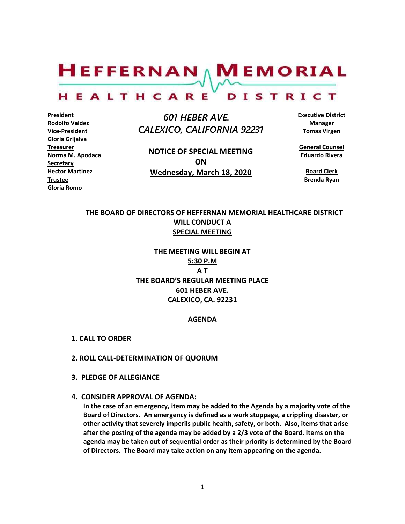$H$ EFFERNAN  $\wedge$  M EMORIAL HEALTHCARE DISTRICT

**President Rodolfo Valdez Vice-President Gloria Grijalva Treasurer Norma M. Apodaca Secretary Hector Martinez Trustee Gloria Romo**

 *601 HEBER AVE. CALEXICO, CALIFORNIA 92231*

**NOTICE OF SPECIAL MEETING ON Wednesday, March 18, 2020**

**Executive District Manager Tomas Virgen**

**General Counsel Eduardo Rivera**

> **Board Clerk Brenda Ryan**

# **THE BOARD OF DIRECTORS OF HEFFERNAN MEMORIAL HEALTHCARE DISTRICT WILL CONDUCT A SPECIAL MEETING**

**THE MEETING WILL BEGIN AT 5:30 P.M A T THE BOARD'S REGULAR MEETING PLACE 601 HEBER AVE. CALEXICO, CA. 92231**

#### **AGENDA**

- **1. CALL TO ORDER**
- **2. ROLL CALL-DETERMINATION OF QUORUM**
- **3. PLEDGE OF ALLEGIANCE**
- **4. CONSIDER APPROVAL OF AGENDA:**

**In the case of an emergency, item may be added to the Agenda by a majority vote of the Board of Directors. An emergency is defined as a work stoppage, a crippling disaster, or other activity that severely imperils public health, safety, or both. Also, items that arise after the posting of the agenda may be added by a 2/3 vote of the Board. Items on the agenda may be taken out of sequential order as their priority is determined by the Board of Directors. The Board may take action on any item appearing on the agenda.**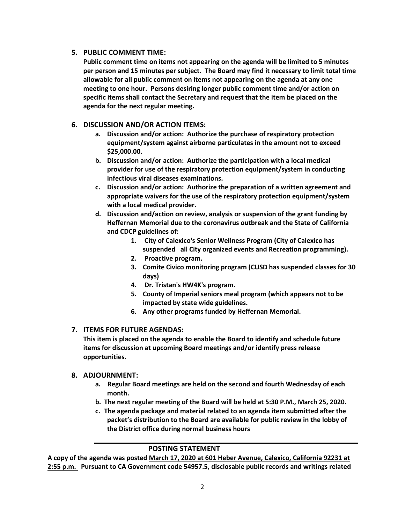#### **5. PUBLIC COMMENT TIME:**

**Public comment time on items not appearing on the agenda will be limited to 5 minutes per person and 15 minutes per subject. The Board may find it necessary to limit total time allowable for all public comment on items not appearing on the agenda at any one meeting to one hour. Persons desiring longer public comment time and/or action on specific items shall contact the Secretary and request that the item be placed on the agenda for the next regular meeting.**

## **6. DISCUSSION AND/OR ACTION ITEMS:**

- **a. Discussion and/or action: Authorize the purchase of respiratory protection equipment/system against airborne particulates in the amount not to exceed \$25,000.00.**
- **b. Discussion and/or action: Authorize the participation with a local medical provider for use of the respiratory protection equipment/system in conducting infectious viral diseases examinations.**
- **c. Discussion and/or action: Authorize the preparation of a written agreement and appropriate waivers for the use of the respiratory protection equipment/system with a local medical provider.**
- **d. Discussion and/action on review, analysis or suspension of the grant funding by Heffernan Memorial due to the coronavirus outbreak and the State of California and CDCP guidelines of:** 
	- **1. City of Calexico's Senior Wellness Program (City of Calexico has suspended all City organized events and Recreation programming).**
	- **2. Proactive program.**
	- **3. Comite Civico monitoring program (CUSD has suspended classes for 30 days)**
	- **4. Dr. Tristan's HW4K's program.**
	- **5. County of Imperial seniors meal program (which appears not to be impacted by state wide guidelines.**
	- **6. Any other programs funded by Heffernan Memorial.**

## **7. ITEMS FOR FUTURE AGENDAS:**

**This item is placed on the agenda to enable the Board to identify and schedule future items for discussion at upcoming Board meetings and/or identify press release opportunities.**

#### **8. ADJOURNMENT:**

- **a. Regular Board meetings are held on the second and fourth Wednesday of each month.**
- **b. The next regular meeting of the Board will be held at 5:30 P.M., March 25, 2020.**
- **c. The agenda package and material related to an agenda item submitted after the packet's distribution to the Board are available for public review in the lobby of the District office during normal business hours**

## **POSTING STATEMENT**

**A copy of the agenda was posted March 17, 2020 at 601 Heber Avenue, Calexico, California 92231 at 2:55 p.m. Pursuant to CA Government code 54957.5, disclosable public records and writings related**